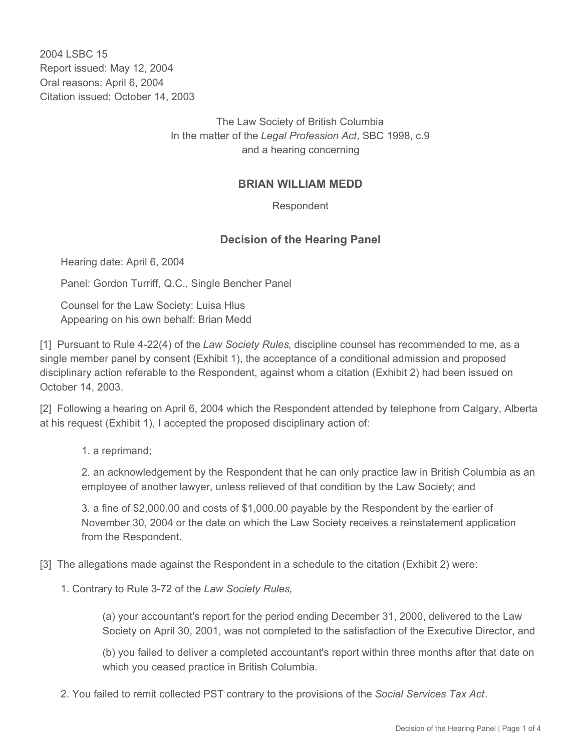2004 LSBC 15 Report issued: May 12, 2004 Oral reasons: April 6, 2004 Citation issued: October 14, 2003

> The Law Society of British Columbia In the matter of the *Legal Profession Act*, SBC 1998, c.9 and a hearing concerning

# **BRIAN WILLIAM MEDD**

Respondent

## **Decision of the Hearing Panel**

Hearing date: April 6, 2004

Panel: Gordon Turriff, Q.C., Single Bencher Panel

Counsel for the Law Society: Luisa Hlus Appearing on his own behalf: Brian Medd

[1] Pursuant to Rule 4-22(4) of the *Law Society Rules*, discipline counsel has recommended to me, as a single member panel by consent (Exhibit 1), the acceptance of a conditional admission and proposed disciplinary action referable to the Respondent, against whom a citation (Exhibit 2) had been issued on October 14, 2003.

[2] Following a hearing on April 6, 2004 which the Respondent attended by telephone from Calgary, Alberta at his request (Exhibit 1), I accepted the proposed disciplinary action of:

1. a reprimand;

2. an acknowledgement by the Respondent that he can only practice law in British Columbia as an employee of another lawyer, unless relieved of that condition by the Law Society; and

3. a fine of \$2,000.00 and costs of \$1,000.00 payable by the Respondent by the earlier of November 30, 2004 or the date on which the Law Society receives a reinstatement application from the Respondent.

- [3] The allegations made against the Respondent in a schedule to the citation (Exhibit 2) were:
	- 1. Contrary to Rule 3-72 of the *Law Society Rules*,

(a) your accountant's report for the period ending December 31, 2000, delivered to the Law Society on April 30, 2001, was not completed to the satisfaction of the Executive Director, and

(b) you failed to deliver a completed accountant's report within three months after that date on which you ceased practice in British Columbia.

2. You failed to remit collected PST contrary to the provisions of the *Social Services Tax Act*.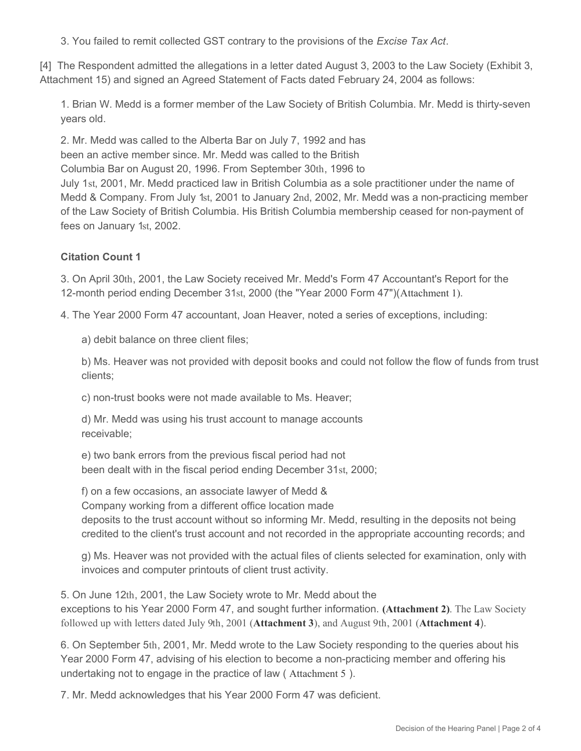3. You failed to remit collected GST contrary to the provisions of the *Excise Tax Act*.

[4] The Respondent admitted the allegations in a letter dated August 3, 2003 to the Law Society (Exhibit 3, Attachment 15) and signed an Agreed Statement of Facts dated February 24, 2004 as follows:

1. Brian W. Medd is a former member of the Law Society of British Columbia. Mr. Medd is thirty-seven years old.

2. Mr. Medd was called to the Alberta Bar on July 7, 1992 and has been an active member since. Mr. Medd was called to the British Columbia Bar on August 20, 1996. From September 30th, 1996 to July 1st, 2001, Mr. Medd practiced law in British Columbia as a sole practitioner under the name of Medd & Company. From July 1st, 2001 to January 2nd, 2002, Mr. Medd was a non-practicing member of the Law Society of British Columbia. His British Columbia membership ceased for non-payment of fees on January 1st, 2002.

## **Citation Count 1**

3. On April 30th, 2001, the Law Society received Mr. Medd's Form 47 Accountant's Report for the 12-month period ending December 31st, 2000 (the "Year 2000 Form 47")(Attachment 1).

4. The Year 2000 Form 47 accountant, Joan Heaver, noted a series of exceptions, including:

a) debit balance on three client files;

b) Ms. Heaver was not provided with deposit books and could not follow the flow of funds from trust clients;

c) non-trust books were not made available to Ms. Heaver;

d) Mr. Medd was using his trust account to manage accounts receivable;

e) two bank errors from the previous fiscal period had not been dealt with in the fiscal period ending December 31st, 2000;

f) on a few occasions, an associate lawyer of Medd &

Company working from a different office location made

deposits to the trust account without so informing Mr. Medd, resulting in the deposits not being credited to the client's trust account and not recorded in the appropriate accounting records; and

g) Ms. Heaver was not provided with the actual files of clients selected for examination, only with invoices and computer printouts of client trust activity.

5. On June 12th, 2001, the Law Society wrote to Mr. Medd about the exceptions to his Year 2000 Form 47, and sought further information. **(Attachment 2)**. The Law Society followed up with letters dated July 9th, 2001 (**Attachment 3**), and August 9th, 2001 (**Attachment 4**).

6. On September 5th, 2001, Mr. Medd wrote to the Law Society responding to the queries about his Year 2000 Form 47, advising of his election to become a non-practicing member and offering his undertaking not to engage in the practice of law ( Attachment 5 ).

7. Mr. Medd acknowledges that his Year 2000 Form 47 was deficient.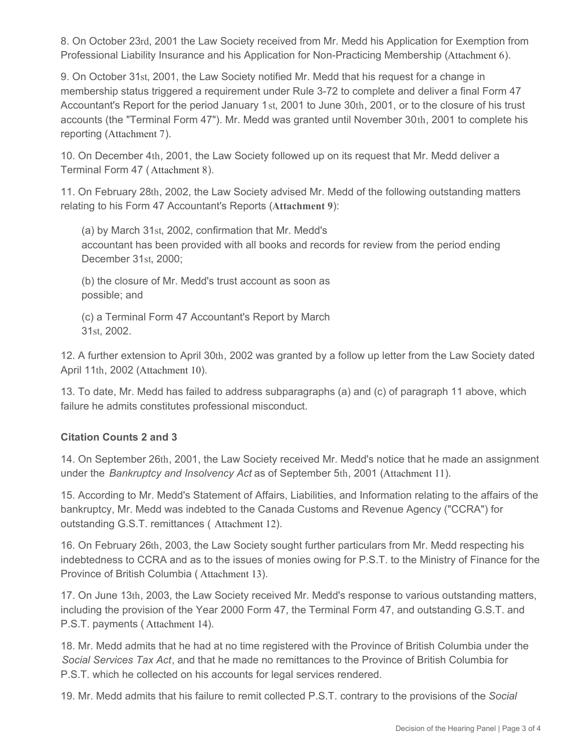8. On October 23rd, 2001 the Law Society received from Mr. Medd his Application for Exemption from Professional Liability Insurance and his Application for Non-Practicing Membership (Attachment 6).

9. On October 31st, 2001, the Law Society notified Mr. Medd that his request for a change in membership status triggered a requirement under Rule 3-72 to complete and deliver a final Form 47 Accountant's Report for the period January 1st, 2001 to June 30th, 2001, or to the closure of his trust accounts (the "Terminal Form 47"). Mr. Medd was granted until November 30th, 2001 to complete his reporting (Attachment 7).

10. On December 4th, 2001, the Law Society followed up on its request that Mr. Medd deliver a Terminal Form 47 (Attachment 8).

11. On February 28th, 2002, the Law Society advised Mr. Medd of the following outstanding matters relating to his Form 47 Accountant's Reports (**Attachment 9**):

(a) by March 31st, 2002, confirmation that Mr. Medd's accountant has been provided with all books and records for review from the period ending December 31st, 2000;

(b) the closure of Mr. Medd's trust account as soon as possible; and

(c) a Terminal Form 47 Accountant's Report by March 31st, 2002.

12. A further extension to April 30th, 2002 was granted by a follow up letter from the Law Society dated April 11th, 2002 (Attachment 10).

13. To date, Mr. Medd has failed to address subparagraphs (a) and (c) of paragraph 11 above, which failure he admits constitutes professional misconduct.

## **Citation Counts 2 and 3**

14. On September 26th, 2001, the Law Society received Mr. Medd's notice that he made an assignment under the *Bankruptcy and Insolvency Act* as of September 5th, 2001 (Attachment 11).

15. According to Mr. Medd's Statement of Affairs, Liabilities, and Information relating to the affairs of the bankruptcy, Mr. Medd was indebted to the Canada Customs and Revenue Agency ("CCRA") for outstanding G.S.T. remittances ( Attachment 12).

16. On February 26th, 2003, the Law Society sought further particulars from Mr. Medd respecting his indebtedness to CCRA and as to the issues of monies owing for P.S.T. to the Ministry of Finance for the Province of British Columbia ( Attachment 13).

17. On June 13th, 2003, the Law Society received Mr. Medd's response to various outstanding matters, including the provision of the Year 2000 Form 47, the Terminal Form 47, and outstanding G.S.T. and P.S.T. payments ( Attachment 14).

18. Mr. Medd admits that he had at no time registered with the Province of British Columbia under the *Social Services Tax Act*, and that he made no remittances to the Province of British Columbia for P.S.T. which he collected on his accounts for legal services rendered.

19. Mr. Medd admits that his failure to remit collected P.S.T. contrary to the provisions of the *Social*